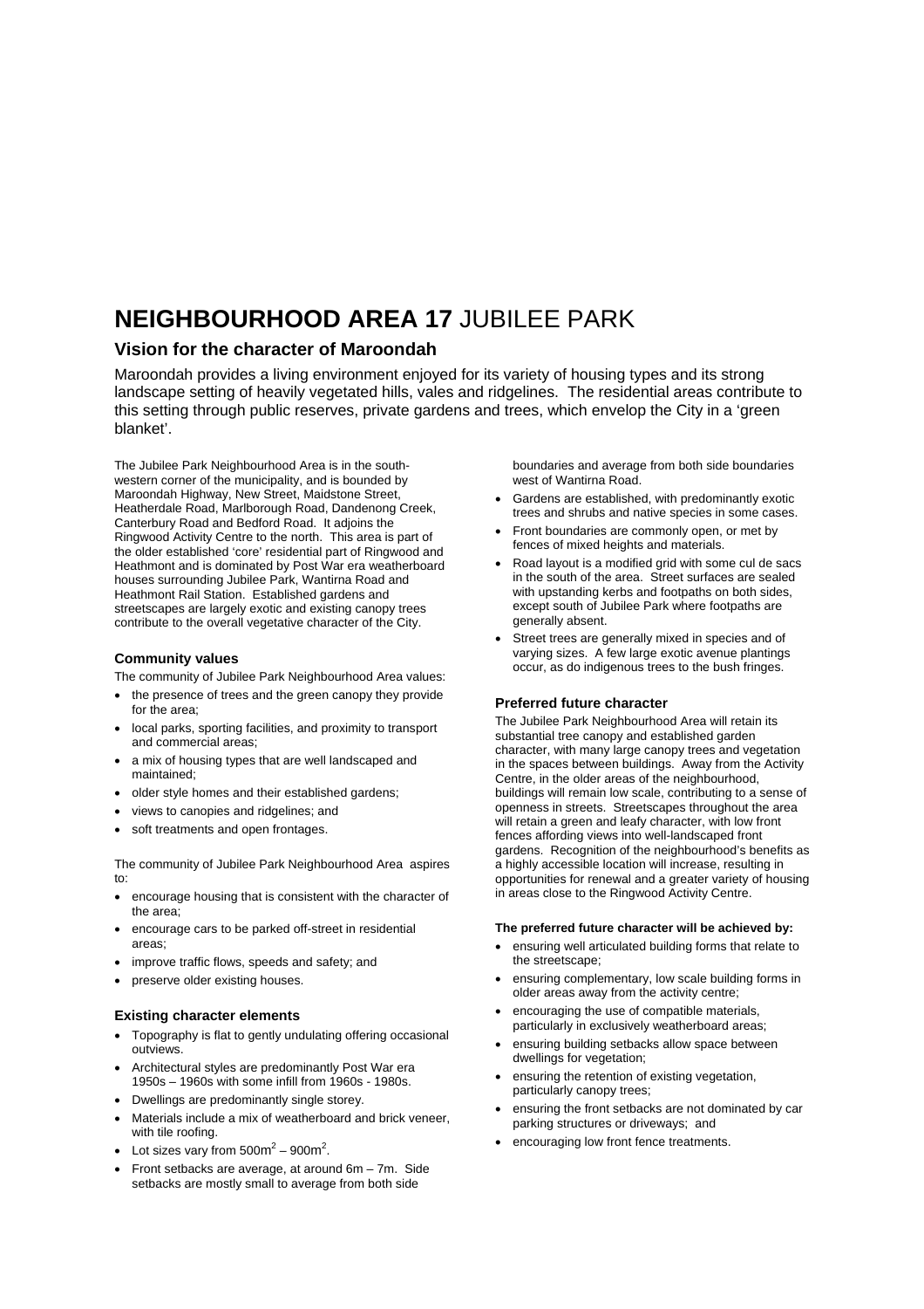# **NEIGHBOURHOOD AREA 17** JUBILEE PARK

### **Vision for the character of Maroondah**

Maroondah provides a living environment enjoyed for its variety of housing types and its strong landscape setting of heavily vegetated hills, vales and ridgelines. The residential areas contribute to this setting through public reserves, private gardens and trees, which envelop the City in a 'green blanket'.

The Jubilee Park Neighbourhood Area is in the southwestern corner of the municipality, and is bounded by Maroondah Highway, New Street, Maidstone Street, Heatherdale Road, Marlborough Road, Dandenong Creek, Canterbury Road and Bedford Road. It adjoins the Ringwood Activity Centre to the north. This area is part of the older established 'core' residential part of Ringwood and Heathmont and is dominated by Post War era weatherboard houses surrounding Jubilee Park, Wantirna Road and Heathmont Rail Station. Established gardens and streetscapes are largely exotic and existing canopy trees contribute to the overall vegetative character of the City.

#### **Community values**

The community of Jubilee Park Neighbourhood Area values:

- the presence of trees and the green canopy they provide for the area;
- local parks, sporting facilities, and proximity to transport and commercial areas;
- a mix of housing types that are well landscaped and maintained;
- older style homes and their established gardens;
- views to canopies and ridgelines; and
- soft treatments and open frontages.

The community of Jubilee Park Neighbourhood Area aspires to:

- encourage housing that is consistent with the character of the area;
- encourage cars to be parked off-street in residential areas;
- improve traffic flows, speeds and safety; and
- preserve older existing houses.

#### **Existing character elements**

- Topography is flat to gently undulating offering occasional outviews.
- Architectural styles are predominantly Post War era 1950s – 1960s with some infill from 1960s - 1980s.
- Dwellings are predominantly single storey.
- Materials include a mix of weatherboard and brick veneer, with tile roofing.
- Lot sizes vary from  $500m^2 900m^2$ .
- Front setbacks are average, at around 6m 7m. Side setbacks are mostly small to average from both side

boundaries and average from both side boundaries west of Wantirna Road.

- Gardens are established, with predominantly exotic trees and shrubs and native species in some cases.
- Front boundaries are commonly open, or met by fences of mixed heights and materials.
- Road layout is a modified grid with some cul de sacs in the south of the area. Street surfaces are sealed with upstanding kerbs and footpaths on both sides, except south of Jubilee Park where footpaths are generally absent.
- Street trees are generally mixed in species and of varying sizes. A few large exotic avenue plantings occur, as do indigenous trees to the bush fringes.

#### **Preferred future character**

The Jubilee Park Neighbourhood Area will retain its substantial tree canopy and established garden character, with many large canopy trees and vegetation in the spaces between buildings. Away from the Activity Centre, in the older areas of the neighbourhood, buildings will remain low scale, contributing to a sense of openness in streets. Streetscapes throughout the area will retain a green and leafy character, with low front fences affording views into well-landscaped front gardens. Recognition of the neighbourhood's benefits as a highly accessible location will increase, resulting in opportunities for renewal and a greater variety of housing in areas close to the Ringwood Activity Centre.

#### **The preferred future character will be achieved by:**

- ensuring well articulated building forms that relate to the streetscape;
- ensuring complementary, low scale building forms in older areas away from the activity centre;
- encouraging the use of compatible materials, particularly in exclusively weatherboard areas;
- ensuring building setbacks allow space between dwellings for vegetation;
- ensuring the retention of existing vegetation, particularly canopy trees;
- ensuring the front setbacks are not dominated by car parking structures or driveways; and
- encouraging low front fence treatments.